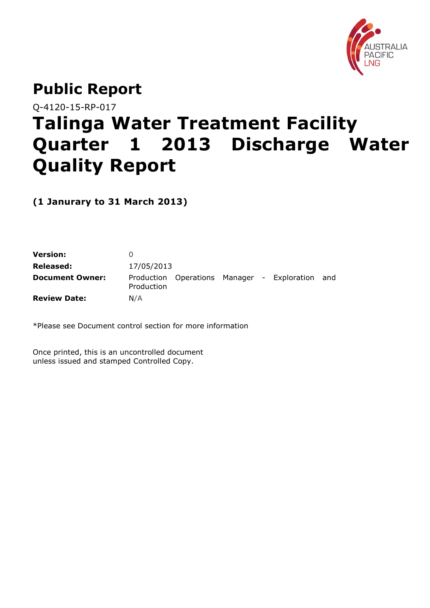

## **Public Report**

Q-4120-15-RP-017

# **Talinga Water Treatment Facility Quarter 1 2013 Discharge Water Quality Report**

**(1 Janurary to 31 March 2013)**

| Version:               |            |                                             |  |     |
|------------------------|------------|---------------------------------------------|--|-----|
| Released:              | 17/05/2013 |                                             |  |     |
| <b>Document Owner:</b> | Production | Production Operations Manager - Exploration |  | and |
| <b>Review Date:</b>    | N/A        |                                             |  |     |

\*Please see Document control section for more information

Once printed, this is an uncontrolled document unless issued and stamped Controlled Copy.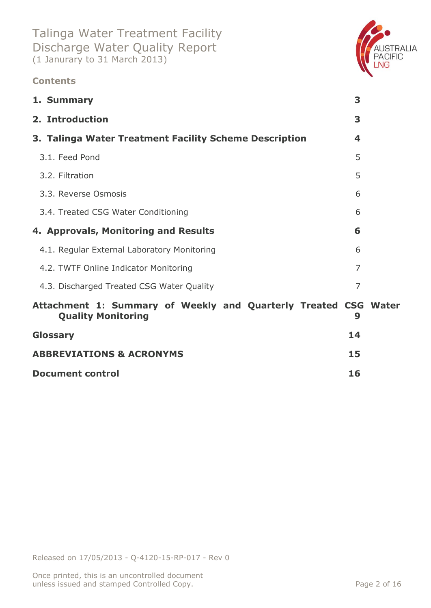### **Contents**



**[ABBREVIATIONS & ACRONYMS](#page-14-0) 15 Document control 16**

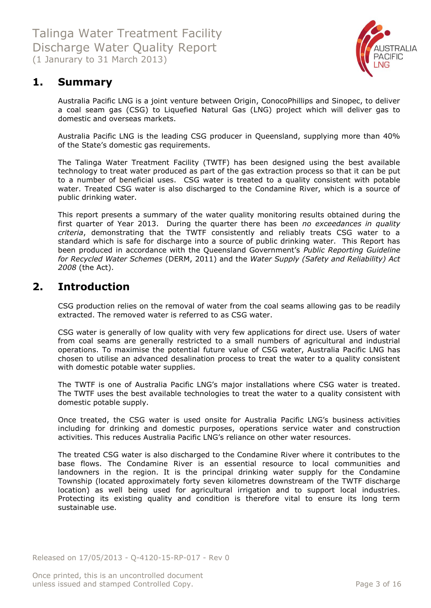

## <span id="page-2-0"></span>**1. Summary**

Australia Pacific LNG is a joint venture between Origin, ConocoPhillips and Sinopec, to deliver a coal seam gas (CSG) to Liquefied Natural Gas (LNG) project which will deliver gas to domestic and overseas markets.

Australia Pacific LNG is the leading CSG producer in Queensland, supplying more than 40% of the State's domestic gas requirements.

The Talinga Water Treatment Facility (TWTF) has been designed using the best available technology to treat water produced as part of the gas extraction process so that it can be put to a number of beneficial uses. CSG water is treated to a quality consistent with potable water. Treated CSG water is also discharged to the Condamine River, which is a source of public drinking water.

This report presents a summary of the water quality monitoring results obtained during the first quarter of Year 2013. During the quarter there has been *no exceedances in quality criteria*, demonstrating that the TWTF consistently and reliably treats CSG water to a standard which is safe for discharge into a source of public drinking water. This Report has been produced in accordance with the Queensland Government's *Public Reporting Guideline for Recycled Water Schemes* (DERM, 2011) and the *Water Supply (Safety and Reliability) Act 2008* (the Act).

## <span id="page-2-1"></span>**2. Introduction**

CSG production relies on the removal of water from the coal seams allowing gas to be readily extracted. The removed water is referred to as CSG water.

CSG water is generally of low quality with very few applications for direct use. Users of water from coal seams are generally restricted to a small numbers of agricultural and industrial operations. To maximise the potential future value of CSG water, Australia Pacific LNG has chosen to utilise an advanced desalination process to treat the water to a quality consistent with domestic potable water supplies.

The TWTF is one of Australia Pacific LNG's major installations where CSG water is treated. The TWTF uses the best available technologies to treat the water to a quality consistent with domestic potable supply.

Once treated, the CSG water is used onsite for Australia Pacific LNG's business activities including for drinking and domestic purposes, operations service water and construction activities. This reduces Australia Pacific LNG's reliance on other water resources.

The treated CSG water is also discharged to the Condamine River where it contributes to the base flows. The Condamine River is an essential resource to local communities and landowners in the region. It is the principal drinking water supply for the Condamine Township (located approximately forty seven kilometres downstream of the TWTF discharge location) as well being used for agricultural irrigation and to support local industries. Protecting its existing quality and condition is therefore vital to ensure its long term sustainable use.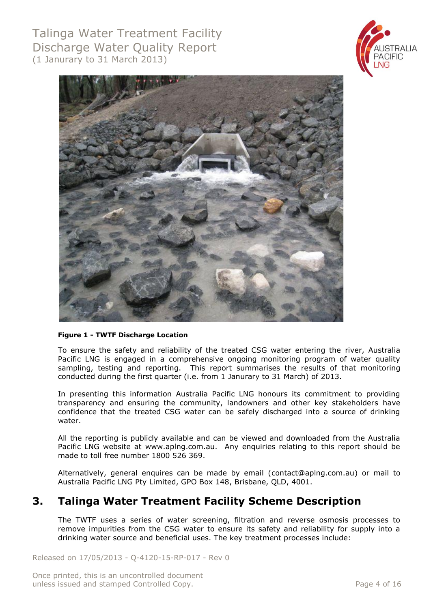



#### **Figure 1 - TWTF Discharge Location**

To ensure the safety and reliability of the treated CSG water entering the river, Australia Pacific LNG is engaged in a comprehensive ongoing monitoring program of water quality sampling, testing and reporting. This report summarises the results of that monitoring conducted during the first quarter (i.e. from 1 Janurary to 31 March) of 2013.

In presenting this information Australia Pacific LNG honours its commitment to providing transparency and ensuring the community, landowners and other key stakeholders have confidence that the treated CSG water can be safely discharged into a source of drinking water.

All the reporting is publicly available and can be viewed and downloaded from the Australia Pacific LNG website at [www.aplng.com.au.](http://www.aplng.com.au/) Any enquiries relating to this report should be made to toll free number 1800 526 369.

Alternatively, general enquires can be made by email [\(contact@aplng.com.au\)](mailto:contact@aplng.com.au) or mail to Australia Pacific LNG Pty Limited, GPO Box 148, Brisbane, QLD, 4001.

## <span id="page-3-0"></span>**3. Talinga Water Treatment Facility Scheme Description**

The TWTF uses a series of water screening, filtration and reverse osmosis processes to remove impurities from the CSG water to ensure its safety and reliability for supply into a drinking water source and beneficial uses. The key treatment processes include:

Released on 17/05/2013 - Q-4120-15-RP-017 - Rev 0

Once printed, this is an uncontrolled document unless issued and stamped Controlled Copy. The example of the example of 16 and 16 and 16 and 16 and 16 and 16 and 16 and 16 and 16 and 16 and 16 and 16 and 16 and 16 and 16 and 16 and 16 and 16 and 16 and 16 and 16 and 16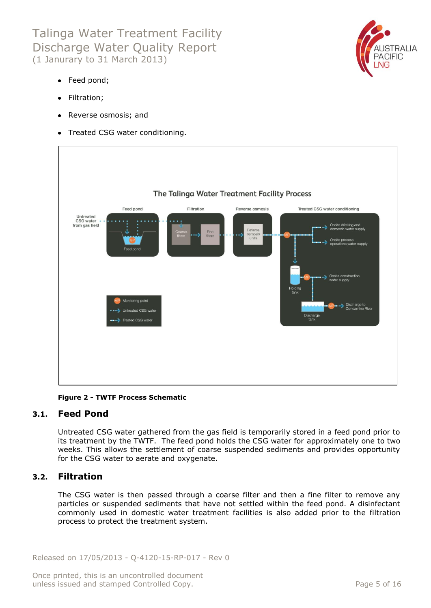

- Feed pond;
- Filtration;
- Reverse osmosis; and
- Treated CSG water conditioning.



**Figure 2 - TWTF Process Schematic**

#### <span id="page-4-0"></span>**3.1. Feed Pond**

Untreated CSG water gathered from the gas field is temporarily stored in a feed pond prior to its treatment by the TWTF. The feed pond holds the CSG water for approximately one to two weeks. This allows the settlement of coarse suspended sediments and provides opportunity for the CSG water to aerate and oxygenate.

#### <span id="page-4-1"></span>**3.2. Filtration**

The CSG water is then passed through a coarse filter and then a fine filter to remove any particles or suspended sediments that have not settled within the feed pond. A disinfectant commonly used in domestic water treatment facilities is also added prior to the filtration process to protect the treatment system.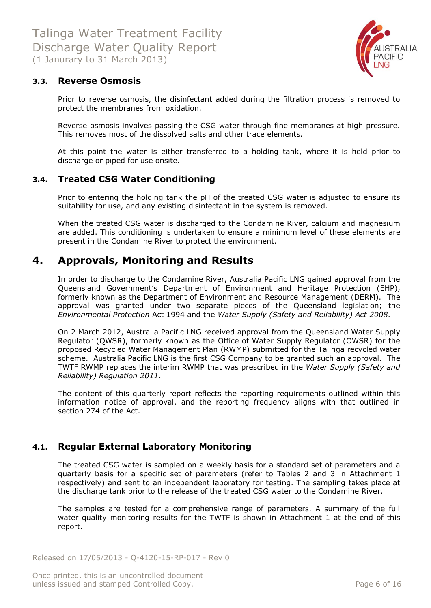

#### <span id="page-5-0"></span>**3.3. Reverse Osmosis**

Prior to reverse osmosis, the disinfectant added during the filtration process is removed to protect the membranes from oxidation.

Reverse osmosis involves passing the CSG water through fine membranes at high pressure. This removes most of the dissolved salts and other trace elements.

At this point the water is either transferred to a holding tank, where it is held prior to discharge or piped for use onsite.

#### <span id="page-5-1"></span>**3.4. Treated CSG Water Conditioning**

Prior to entering the holding tank the pH of the treated CSG water is adjusted to ensure its suitability for use, and any existing disinfectant in the system is removed.

When the treated CSG water is discharged to the Condamine River, calcium and magnesium are added. This conditioning is undertaken to ensure a minimum level of these elements are present in the Condamine River to protect the environment.

## <span id="page-5-2"></span>**4. Approvals, Monitoring and Results**

In order to discharge to the Condamine River, Australia Pacific LNG gained approval from the Queensland Government's Department of Environment and Heritage Protection (EHP), formerly known as the Department of Environment and Resource Management (DERM). The approval was granted under two separate pieces of the Queensland legislation; the *Environmental Protection* Act 1994 and the *Water Supply (Safety and Reliability) Act 2008*.

On 2 March 2012, Australia Pacific LNG received approval from the Queensland Water Supply Regulator (QWSR), formerly known as the Office of Water Supply Regulator (OWSR) for the proposed Recycled Water Management Plan (RWMP) submitted for the Talinga recycled water scheme. Australia Pacific LNG is the first CSG Company to be granted such an approval. The TWTF RWMP replaces the interim RWMP that was prescribed in the *Water Supply (Safety and Reliability) Regulation 2011*.

The content of this quarterly report reflects the reporting requirements outlined within this information notice of approval, and the reporting frequency aligns with that outlined in section 274 of the Act.

#### <span id="page-5-3"></span>**4.1. Regular External Laboratory Monitoring**

The treated CSG water is sampled on a weekly basis for a standard set of parameters and a quarterly basis for a specific set of parameters (refer to Tables 2 and 3 in Attachment 1 respectively) and sent to an independent laboratory for testing. The sampling takes place at the discharge tank prior to the release of the treated CSG water to the Condamine River.

The samples are tested for a comprehensive range of parameters. A summary of the full water quality monitoring results for the TWTF is shown in Attachment 1 at the end of this report.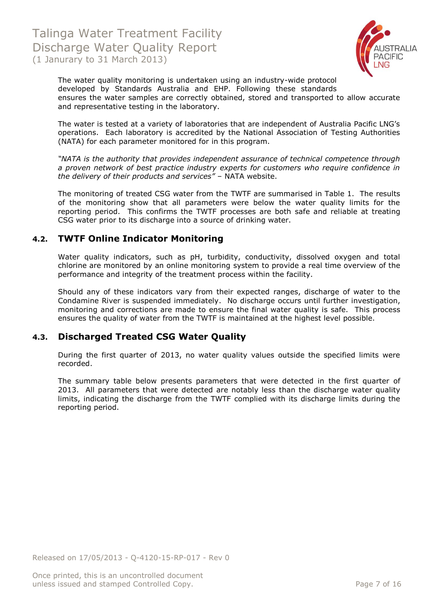

The water quality monitoring is undertaken using an industry-wide protocol developed by Standards Australia and EHP. Following these standards ensures the water samples are correctly obtained, stored and transported to allow accurate and representative testing in the laboratory.

The water is tested at a variety of laboratories that are independent of Australia Pacific LNG's operations. Each laboratory is accredited by the National Association of Testing Authorities (NATA) for each parameter monitored for in this program.

*"NATA is the authority that provides independent assurance of technical competence through a proven network of best practice industry experts for customers who require confidence in the delivery of their products and services"* – NATA website.

The monitoring of treated CSG water from the TWTF are summarised in Table 1. The results of the monitoring show that all parameters were below the water quality limits for the reporting period. This confirms the TWTF processes are both safe and reliable at treating CSG water prior to its discharge into a source of drinking water.

#### <span id="page-6-0"></span>**4.2. TWTF Online Indicator Monitoring**

Water quality indicators, such as pH, turbidity, conductivity, dissolved oxygen and total chlorine are monitored by an online monitoring system to provide a real time overview of the performance and integrity of the treatment process within the facility.

Should any of these indicators vary from their expected ranges, discharge of water to the Condamine River is suspended immediately. No discharge occurs until further investigation, monitoring and corrections are made to ensure the final water quality is safe. This process ensures the quality of water from the TWTF is maintained at the highest level possible.

#### <span id="page-6-1"></span>**4.3. Discharged Treated CSG Water Quality**

During the first quarter of 2013, no water quality values outside the specified limits were recorded.

The summary table below presents parameters that were detected in the first quarter of 2013. All parameters that were detected are notably less than the discharge water quality limits, indicating the discharge from the TWTF complied with its discharge limits during the reporting period.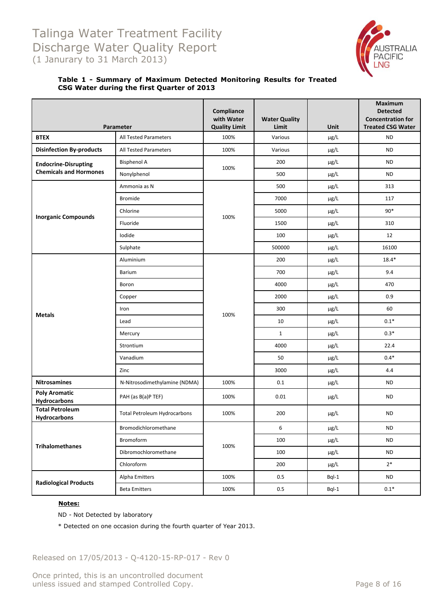

#### **Table 1 - Summary of Maximum Detected Monitoring Results for Treated CSG Water during the first Quarter of 2013**

|                                               | Parameter                           | Compliance<br>with Water<br><b>Quality Limit</b> | <b>Water Quality</b><br>Limit | Unit      | Maximum<br><b>Detected</b><br><b>Concentration for</b><br><b>Treated CSG Water</b> |
|-----------------------------------------------|-------------------------------------|--------------------------------------------------|-------------------------------|-----------|------------------------------------------------------------------------------------|
| <b>BTEX</b>                                   | All Tested Parameters               | 100%                                             | Various                       | µg/L      | ND                                                                                 |
| <b>Disinfection By-products</b>               | All Tested Parameters               | 100%                                             | Various                       | µg/L      | <b>ND</b>                                                                          |
| <b>Endocrine-Disrupting</b>                   | <b>Bisphenol A</b>                  |                                                  | 200                           | µg/L      | <b>ND</b>                                                                          |
| <b>Chemicals and Hormones</b>                 | Nonylphenol                         | 100%                                             | 500                           | µg/L      | <b>ND</b>                                                                          |
|                                               | Ammonia as N                        |                                                  | 500                           | µg/L      | 313                                                                                |
|                                               | <b>Bromide</b>                      |                                                  | 7000                          | µg/L      | 117                                                                                |
|                                               | Chlorine                            |                                                  | 5000                          | µg/L      | $90*$                                                                              |
| <b>Inorganic Compounds</b>                    | Fluoride                            | 100%                                             | 1500                          | µg/L      | 310                                                                                |
|                                               | lodide                              |                                                  | 100                           | µg/L      | 12                                                                                 |
|                                               | Sulphate                            |                                                  | 500000                        | µg/L      | 16100                                                                              |
|                                               | Aluminium                           |                                                  | 200                           | µg/L      | $18.4*$                                                                            |
|                                               | <b>Barium</b>                       |                                                  | 700                           | µg/L      | 9.4                                                                                |
|                                               | Boron                               |                                                  | 4000                          | µg/L      | 470                                                                                |
|                                               | Copper                              |                                                  | 2000                          | µg/L      | 0.9                                                                                |
| <b>Metals</b>                                 | Iron                                | 100%                                             | 300                           | µg/L      | 60                                                                                 |
|                                               | Lead                                |                                                  | 10                            | µg/L      | $0.1*$                                                                             |
|                                               | Mercury                             |                                                  | $\mathbf{1}$                  | µg/L      | $0.3*$                                                                             |
|                                               | Strontium                           |                                                  | 4000                          | µg/L      | 22.4                                                                               |
|                                               | Vanadium                            |                                                  | 50                            | µg/L      | $0.4*$                                                                             |
|                                               | Zinc                                |                                                  | 3000                          | µg/L      | 4.4                                                                                |
| <b>Nitrosamines</b>                           | N-Nitrosodimethylamine (NDMA)       | 100%                                             | 0.1                           | µg/L      | <b>ND</b>                                                                          |
| <b>Poly Aromatic</b><br>Hydrocarbons          | PAH (as B(a)P TEF)                  | 100%                                             | 0.01                          | µg/L      | <b>ND</b>                                                                          |
| <b>Total Petroleum</b><br><b>Hydrocarbons</b> | <b>Total Petroleum Hydrocarbons</b> | 100%                                             | 200                           | $\mu$ g/L | <b>ND</b>                                                                          |
|                                               | Bromodichloromethane                |                                                  | 6                             | µg/L      | <b>ND</b>                                                                          |
|                                               | <b>Bromoform</b>                    |                                                  | 100                           | µg/L      | <b>ND</b>                                                                          |
| <b>Trihalomethanes</b>                        | Dibromochloromethane                | 100%                                             | 100                           | µg/L      | <b>ND</b>                                                                          |
|                                               | Chloroform                          |                                                  | 200                           | µg/L      | $2*$                                                                               |
| <b>Radiological Products</b>                  | Alpha Emitters                      | 100%                                             | 0.5                           | Bql-1     | <b>ND</b>                                                                          |
|                                               | <b>Beta Emitters</b>                | 100%                                             | $0.5\,$                       | Bql-1     | $0.1*$                                                                             |

#### **Notes:**

ND - Not Detected by laboratory

\* Detected on one occasion during the fourth quarter of Year 2013.

Released on 17/05/2013 - Q-4120-15-RP-017 - Rev 0

Once printed, this is an uncontrolled document unless issued and stamped Controlled Copy. The extended of 16 and 20 and 20 and 20 and 20 and 20 and 20 and 20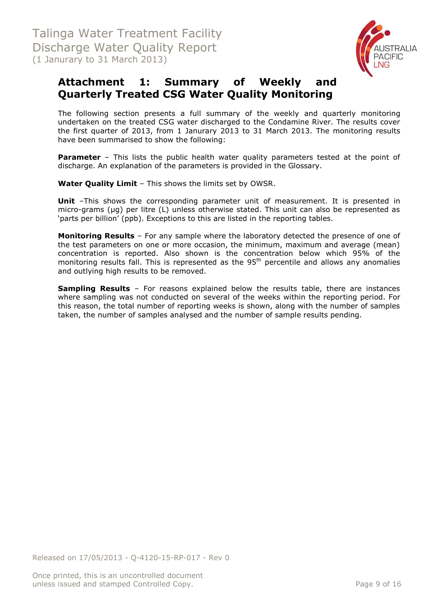

## <span id="page-8-0"></span>**Attachment 1: Summary of Weekly and Quarterly Treated CSG Water Quality Monitoring**

The following section presents a full summary of the weekly and quarterly monitoring undertaken on the treated CSG water discharged to the Condamine River. The results cover the first quarter of 2013, from 1 Janurary 2013 to 31 March 2013. The monitoring results have been summarised to show the following:

**Parameter** – This lists the public health water quality parameters tested at the point of discharge. An explanation of the parameters is provided in the Glossary.

**Water Quality Limit** – This shows the limits set by OWSR.

**Unit** -This shows the corresponding parameter unit of measurement. It is presented in micro-grams (µg) per litre (L) unless otherwise stated. This unit can also be represented as 'parts per billion' (ppb). Exceptions to this are listed in the reporting tables.

**Monitoring Results** – For any sample where the laboratory detected the presence of one of the test parameters on one or more occasion, the minimum, maximum and average (mean) concentration is reported. Also shown is the concentration below which 95% of the monitoring results fall. This is represented as the  $95<sup>th</sup>$  percentile and allows any anomalies and outlying high results to be removed.

**Sampling Results** – For reasons explained below the results table, there are instances where sampling was not conducted on several of the weeks within the reporting period. For this reason, the total number of reporting weeks is shown, along with the number of samples taken, the number of samples analysed and the number of sample results pending.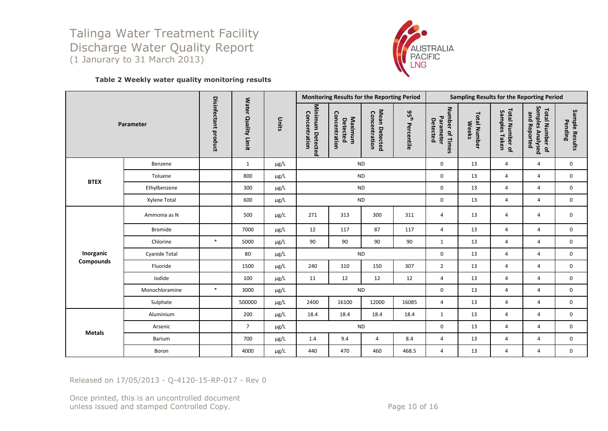

#### **Table 2 Weekly water quality monitoring results**

| Parameter        |                |                      |                     |           | Monitoring Results for the Reporting Period |                                      |                                |                                | Sampling Results for the Reporting Period |                                     |                                  |                                                            |                           |
|------------------|----------------|----------------------|---------------------|-----------|---------------------------------------------|--------------------------------------|--------------------------------|--------------------------------|-------------------------------------------|-------------------------------------|----------------------------------|------------------------------------------------------------|---------------------------|
|                  |                | Disinfectant product | Water Quality Limit | Units     | Minimum Detected<br>Concentration           | Concentration<br>Maximum<br>Detected | Mean Detected<br>Concentration | 95 <sup>th</sup><br>Percentile | Number of Times<br>Parameter<br>Detected  | <b>Total Number</b><br><b>Weeks</b> | Total Number of<br>Samples Taken | Samples Analysed<br><b>Total Number of</b><br>and Reported | Sample Results<br>Pending |
|                  | Benzene        |                      | $\mathbf{1}$        | $\mu$ g/L |                                             |                                      | <b>ND</b>                      |                                | 0                                         | 13                                  | $\overline{4}$                   | $\overline{4}$                                             | 0                         |
| <b>BTEX</b>      | Toluene        |                      | 800                 | $\mu$ g/L |                                             | <b>ND</b>                            |                                |                                | $\mathbf 0$                               | 13                                  | $\overline{4}$                   | $\overline{4}$                                             | 0                         |
|                  | Ethylbenzene   |                      | 300                 | $\mu$ g/L |                                             | <b>ND</b><br><b>ND</b>               |                                |                                | $\mathbf 0$                               | 13                                  | 4                                | $\overline{4}$                                             | 0                         |
|                  | Xylene Total   |                      | 600                 | $\mu$ g/L |                                             |                                      |                                |                                | 0                                         | 13                                  | $\overline{4}$                   | $\overline{4}$                                             | $\mathbf 0$               |
|                  | Ammonia as N   |                      | 500                 | $\mu$ g/L | 271                                         | 313                                  | 300                            | 311                            | 4                                         | 13                                  | 4                                | $\overline{4}$                                             | 0                         |
|                  | <b>Bromide</b> |                      | 7000                | $\mu$ g/L | 12                                          | 117                                  | 87                             | 117                            | $\overline{4}$                            | 13                                  | $\overline{4}$                   | $\overline{4}$                                             | $\mathbf 0$               |
|                  | Chlorine       | $\ast$               | 5000                | µg/L      | 90                                          | 90                                   | 90                             | 90                             | $\mathbf{1}$                              | 13                                  | $\overline{4}$                   | $\overline{4}$                                             | 0                         |
| Inorganic        | Cyanide Total  |                      | 80                  | $\mu$ g/L |                                             |                                      | <b>ND</b>                      |                                | $\mathbf 0$                               | 13                                  | 4                                | $\overline{4}$                                             | 0                         |
| <b>Compounds</b> | Fluoride       |                      | 1500                | $\mu$ g/L | 240                                         | 310                                  | 150                            | 307                            | $\overline{2}$                            | 13                                  | $\overline{4}$                   | $\overline{4}$                                             | 0                         |
|                  | Iodide         |                      | 100                 | $\mu$ g/L | 11                                          | 12                                   | 12                             | 12                             | 4                                         | 13                                  | 4                                | 4                                                          | 0                         |
|                  | Monochloramine | $\ast$               | 3000                | $\mu$ g/L |                                             |                                      | <b>ND</b>                      |                                | $\mathbf 0$                               | 13                                  | $\overline{4}$                   | $\overline{4}$                                             | 0                         |
|                  | Sulphate       |                      | 500000              | $\mu$ g/L | 2400                                        | 16100                                | 12000                          | 16085                          | 4                                         | 13                                  | 4                                | $\overline{4}$                                             | 0                         |
|                  | Aluminium      |                      | 200                 | $\mu$ g/L | 18.4                                        | 18.4                                 | 18.4                           | 18.4                           | $\mathbf{1}$                              | 13                                  | $\overline{4}$                   | $\overline{4}$                                             | $\mathbf 0$               |
|                  | Arsenic        |                      | $\overline{7}$      | $\mu$ g/L |                                             | <b>ND</b>                            |                                |                                | $\mathbf 0$                               | 13                                  | 4                                | $\overline{4}$                                             | 0                         |
| <b>Metals</b>    | <b>Barium</b>  |                      | 700                 | $\mu$ g/L | 1.4                                         | 9.4                                  | $\overline{4}$                 | 8.4                            | $\overline{4}$                            | 13                                  | $\overline{4}$                   | $\overline{4}$                                             | 0                         |
|                  | Boron          |                      | 4000                | $\mu$ g/L | 440                                         | 470                                  | 460                            | 468.5                          | 4                                         | 13                                  | 4                                | 4                                                          | 0                         |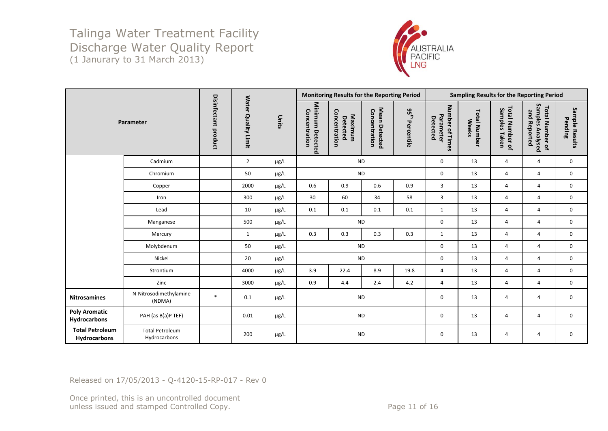

| Parameter                              |                                        |                                |                                      | Units     | Monitoring Results for the Reporting Period |                                      |                                |                             | Sampling Results for the Reporting Period |                                     |                                  |                                                     |                           |
|----------------------------------------|----------------------------------------|--------------------------------|--------------------------------------|-----------|---------------------------------------------|--------------------------------------|--------------------------------|-----------------------------|-------------------------------------------|-------------------------------------|----------------------------------|-----------------------------------------------------|---------------------------|
|                                        |                                        | <b>Disinfectant</b><br>product | <b>Water</b><br><b>Quality Limit</b> |           | Minimum Detected<br>Concentration           | Concentration<br>Maximum<br>Detected | Mean Detected<br>Concentration | $35^{\rm th}$<br>Percentile | Number of Times<br>Parameter<br>Detected  | <b>Total Number</b><br><b>Weeks</b> | Total Number of<br>Samples Taken | Samples Analysed<br>and Reported<br>Total Number of | Sample Results<br>Pending |
|                                        | Cadmium                                |                                | $\overline{2}$                       | $\mu$ g/L |                                             | <b>ND</b>                            |                                |                             | $\mathbf 0$                               | 13                                  | $\overline{4}$                   | 4                                                   | $\mathbf 0$               |
|                                        | Chromium                               |                                | 50                                   | $\mu$ g/L |                                             | <b>ND</b>                            |                                |                             | $\mathbf 0$                               | 13                                  | $\overline{4}$                   | 4                                                   | $\mathbf 0$               |
|                                        | Copper                                 |                                | 2000                                 | $\mu$ g/L | 0.6                                         | 0.9                                  | 0.6                            | 0.9                         | $\overline{3}$                            | 13                                  | $\overline{4}$                   | 4                                                   | $\mathbf 0$               |
|                                        | Iron                                   |                                | 300                                  | $\mu$ g/L | 30                                          | 60                                   | 34                             | 58                          | $\overline{3}$                            | 13                                  | $\overline{4}$                   | 4                                                   | $\mathbf 0$               |
|                                        | Lead                                   |                                | 10                                   | $\mu$ g/L | 0.1                                         | 0.1                                  | 0.1                            | 0.1                         | $\mathbf{1}$                              | 13                                  | $\overline{4}$                   | $\overline{4}$                                      | $\mathbf 0$               |
|                                        | Manganese                              |                                | 500                                  | µg/L      |                                             | <b>ND</b>                            |                                |                             | $\mathbf 0$                               | 13                                  | 4                                | $\overline{4}$                                      | $\mathbf 0$               |
|                                        | Mercury                                |                                | $\mathbf{1}$                         | µg/L      | 0.3                                         | 0.3                                  | 0.3                            | 0.3                         | $\mathbf{1}$                              | 13                                  | 4                                | $\overline{4}$                                      | $\mathbf 0$               |
|                                        | Molybdenum                             |                                | 50                                   | $\mu$ g/L |                                             | <b>ND</b>                            |                                |                             | $\mathbf 0$                               | 13                                  | $\overline{4}$                   | 4                                                   | $\mathbf 0$               |
|                                        | Nickel                                 |                                | 20                                   | $\mu$ g/L |                                             | <b>ND</b>                            |                                |                             | $\mathbf 0$                               | 13                                  | $\overline{4}$                   | 4                                                   | $\mathsf 0$               |
|                                        | Strontium                              |                                | 4000                                 | $\mu$ g/L | 3.9                                         | 22.4                                 | 8.9                            | 19.8                        | $\overline{4}$                            | 13                                  | $\overline{4}$                   | 4                                                   | $\mathbf 0$               |
|                                        | Zinc                                   |                                | 3000                                 | $\mu$ g/L | 0.9                                         | 4.4                                  | 2.4                            | 4.2                         | $\overline{4}$                            | 13                                  | $\overline{4}$                   | 4                                                   | $\mathbf 0$               |
| <b>Nitrosamines</b>                    | N-Nitrosodimethylamine<br>(NDMA)       | $\ast$                         | 0.1                                  | $\mu$ g/L |                                             | <b>ND</b>                            |                                |                             | $\mathsf 0$                               | 13                                  | 4                                | 4                                                   | $\mathsf 0$               |
| <b>Poly Aromatic</b><br>Hydrocarbons   | PAH (as B(a)P TEF)                     |                                | 0.01                                 | $\mu$ g/L | <b>ND</b>                                   |                                      |                                | $\mathbf 0$                 | 13                                        | 4                                   | 4                                | $\mathbf 0$                                         |                           |
| <b>Total Petroleum</b><br>Hydrocarbons | <b>Total Petroleum</b><br>Hydrocarbons |                                | 200                                  | $\mu$ g/L |                                             | <b>ND</b>                            |                                |                             | 0                                         | 13                                  | 4                                | 4                                                   | 0                         |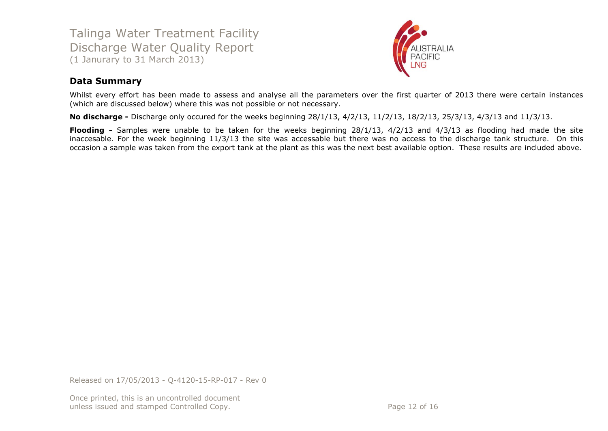

#### **Data Summary**

Whilst every effort has been made to assess and analyse all the parameters over the first quarter of 2013 there were certain instances (which are discussed below) where this was not possible or not necessary.

**No discharge -** Discharge only occured for the weeks beginning 28/1/13, 4/2/13, 11/2/13, 18/2/13, 25/3/13, 4/3/13 and 11/3/13.

**Flooding -** Samples were unable to be taken for the weeks beginning 28/1/13, 4/2/13 and 4/3/13 as flooding had made the site inaccesable. For the week beginning 11/3/13 the site was accessable but there was no access to the discharge tank structure. On this occasion a sample was taken from the export tank at the plant as this was the next best available option. These results are included above.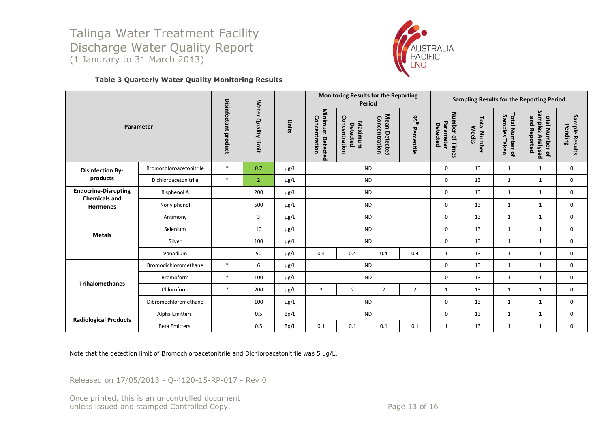

#### **Table 3 Quarterly Water Quality Monitoring Results**

| Parameter                                           |                         |                                                                 |                |           | <b>Monitoring Results for the Reporting</b><br>Period |                                      |                                | Sampling Results for the Reporting Period |                                          |                                     |                                     |                                                            |                           |
|-----------------------------------------------------|-------------------------|-----------------------------------------------------------------|----------------|-----------|-------------------------------------------------------|--------------------------------------|--------------------------------|-------------------------------------------|------------------------------------------|-------------------------------------|-------------------------------------|------------------------------------------------------------|---------------------------|
|                                                     |                         | Disinfectant<br><b>Water</b><br><b>Quality Limit</b><br>product |                | Units     | Minimum Detected<br>Concentration                     | Concentration<br>Maximum<br>Detected | Mean Detected<br>Concentration | 95 <sup>th</sup><br>Percentile            | Number of Times<br>Parameter<br>Detected | <b>Total Number</b><br><b>Weeks</b> | Total Number of<br>Samples<br>Taken | Samples Analysed<br><b>Total Number of</b><br>and Reported | Sample Results<br>Pending |
| <b>Disinfection By-</b>                             | Bromochloroacetonitrile | $*$                                                             | 0.7            | $\mu$ g/L |                                                       |                                      | <b>ND</b>                      |                                           | $\mathbf 0$                              | 13                                  | $\mathbf{1}$                        | $\mathbf{1}$                                               | $\mathbf 0$               |
| products                                            | Dichloroacetonitrile    | $*$                                                             | $\overline{2}$ | $\mu$ g/L |                                                       |                                      | <b>ND</b>                      |                                           | $\mathsf 0$                              | 13                                  | $\mathbf{1}$                        | $\mathbf{1}$                                               | $\mathbf 0$               |
| <b>Endocrine-Disrupting</b><br><b>Chemicals and</b> | <b>Bisphenol A</b>      |                                                                 | 200            | µg/L      |                                                       |                                      | <b>ND</b>                      |                                           | $\mathbf 0$                              | 13                                  | $\mathbf{1}$                        | $\mathbf{1}$                                               | 0                         |
| <b>Hormones</b>                                     | Nonylphenol             |                                                                 | 500            | µg/L      | <b>ND</b>                                             |                                      |                                | $\mathbf 0$                               | 13                                       | $\mathbf{1}$                        | $\mathbf{1}$                        | $\mathbf 0$                                                |                           |
|                                                     | Antimony                |                                                                 | 3              | µg/L      |                                                       |                                      | <b>ND</b>                      |                                           | $\mathbf 0$                              | 13                                  | $\mathbf{1}$                        | $\mathbf{1}$                                               | 0                         |
| <b>Metals</b>                                       | Selenium                |                                                                 | 10             | $\mu$ g/L |                                                       |                                      | <b>ND</b>                      |                                           | $\mathbf 0$                              | 13                                  | $\mathbf{1}$                        | $\mathbf{1}$                                               | $\mathbf 0$               |
|                                                     | Silver                  |                                                                 | 100            | $\mu$ g/L | <b>ND</b>                                             |                                      |                                |                                           | $\mathbf 0$                              | 13                                  | $\mathbf{1}$                        | $\mathbf{1}$                                               | $\mathbf 0$               |
|                                                     | Vanadium                |                                                                 | 50             | µg/L      | 0.4                                                   | 0.4                                  | 0.4                            | 0.4                                       | 1                                        | 13                                  | $\mathbf{1}$                        | $\mathbf{1}$                                               | $\mathbf 0$               |
|                                                     | Bromodichloromethane    | $*$                                                             | 6              | $\mu$ g/L |                                                       |                                      | <b>ND</b>                      |                                           | $\mathbf 0$                              | 13                                  | $\mathbf{1}$                        | $\mathbf{1}$                                               | $\mathbf 0$               |
|                                                     | Bromoform               | $\ast$                                                          | 100            | $\mu$ g/L |                                                       |                                      | <b>ND</b>                      |                                           | $\mathbf 0$                              | 13                                  | $\mathbf{1}$                        | $\mathbf{1}$                                               | $\mathbf 0$               |
| <b>Trihalomethanes</b>                              | Chloroform              | $\ast$                                                          | 200            | $\mu$ g/L | $\overline{2}$                                        | $\overline{2}$                       | $\overline{2}$                 | $\overline{2}$                            | 1                                        | 13                                  | 1                                   | $\mathbf{1}$                                               | $\mathbf 0$               |
|                                                     | Dibromochloromethane    |                                                                 | 100            | µg/L      | <b>ND</b>                                             |                                      |                                |                                           | $\mathbf 0$                              | 13                                  | $\mathbf{1}$                        | $\mathbf{1}$                                               | $\mathbf 0$               |
|                                                     | Alpha Emitters          |                                                                 | 0.5            | Bq/L      |                                                       |                                      | <b>ND</b>                      |                                           | $\mathbf 0$                              | 13                                  | $\mathbf{1}$                        | $\mathbf{1}$                                               | $\mathbf 0$               |
| <b>Radiological Products</b>                        | <b>Beta Emitters</b>    |                                                                 | 0.5            | Bq/L      | 0.1                                                   | 0.1                                  | 0.1                            | 0.1                                       | $\mathbf{1}$                             | 13                                  | $\mathbf{1}$                        | $\mathbf{1}$                                               | $\mathbf 0$               |

Note that the detection limit of Bromochloroacetonitrile and Dichloroacetonitrile was 5 ug/L.

Released on 17/05/2013 - Q-4120-15-RP-017 - Rev 0

Once printed, this is an uncontrolled document unless issued and stamped Controlled Copy. The extended of 16 and 200 km states and 16 and 16 and 16 and 16 and 16 and 16 and 16 and 16 and 16 and 16 and 16 and 16 and 16 and 16 and 16 and 16 and 16 and 16 and 16 and 16 an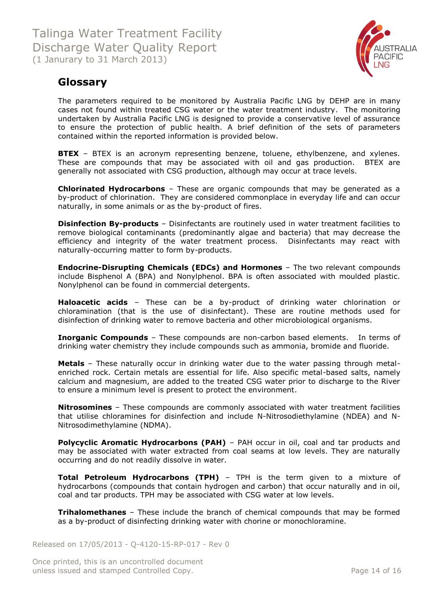

## <span id="page-13-0"></span>**Glossary**

The parameters required to be monitored by Australia Pacific LNG by DEHP are in many cases not found within treated CSG water or the water treatment industry. The monitoring undertaken by Australia Pacific LNG is designed to provide a conservative level of assurance to ensure the protection of public health. A brief definition of the sets of parameters contained within the reported information is provided below.

**BTEX** - BTEX is an acronym representing benzene, toluene, ethylbenzene, and xylenes. These are compounds that may be associated with oil and gas production. BTEX are generally not associated with CSG production, although may occur at trace levels.

**Chlorinated Hydrocarbons** – These are organic compounds that may be generated as a by-product of chlorination. They are considered commonplace in everyday life and can occur naturally, in some animals or as the by-product of fires.

**Disinfection By-products** – Disinfectants are routinely used in water treatment facilities to remove biological contaminants (predominantly algae and bacteria) that may decrease the efficiency and integrity of the water treatment process. Disinfectants may react with naturally-occurring matter to form by-products.

**Endocrine-Disrupting Chemicals (EDCs) and Hormones** – The two relevant compounds include Bisphenol A (BPA) and Nonylphenol. BPA is often associated with moulded plastic. Nonylphenol can be found in commercial detergents.

**Haloacetic acids** – These can be a by-product of drinking water chlorination or chloramination (that is the use of disinfectant). These are routine methods used for disinfection of drinking water to remove bacteria and other microbiological organisms.

**Inorganic Compounds** – These compounds are non-carbon based elements. In terms of drinking water chemistry they include compounds such as ammonia, bromide and fluoride.

**Metals** – These naturally occur in drinking water due to the water passing through metalenriched rock. Certain metals are essential for life. Also specific metal-based salts, namely calcium and magnesium, are added to the treated CSG water prior to discharge to the River to ensure a minimum level is present to protect the environment.

**Nitrosomines** – These compounds are commonly associated with water treatment facilities that utilise chloramines for disinfection and include N-Nitrosodiethylamine (NDEA) and N-Nitrosodimethylamine (NDMA).

**Polycyclic Aromatic Hydrocarbons (PAH)** - PAH occur in oil, coal and tar products and may be associated with water extracted from coal seams at low levels. They are naturally occurring and do not readily dissolve in water.

**Total Petroleum Hydrocarbons (TPH)** – TPH is the term given to a mixture of hydrocarbons (compounds that contain hydrogen and carbon) that occur naturally and in oil, coal and tar products. TPH may be associated with CSG water at low levels.

**Trihalomethanes** – These include the branch of chemical compounds that may be formed as a by-product of disinfecting drinking water with chorine or monochloramine.

Released on 17/05/2013 - Q-4120-15-RP-017 - Rev 0

Once printed, this is an uncontrolled document unless issued and stamped Controlled Copy. The extended of 16 and 5 and 5 and 5 and 6 and 5 and 7 and 7 and 7 and 7 and 7 and 7 and 7 and 7 and 7 and 7 and 7 and 7 and 7 and 7 and 7 and 7 and 7 and 7 and 7 and 7 and 7 and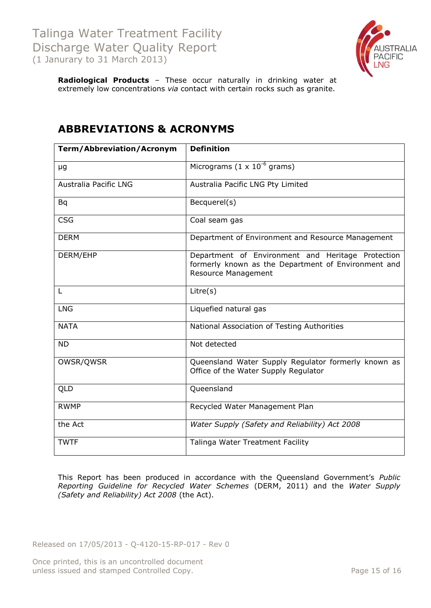

**Radiological Products** – These occur naturally in drinking water at extremely low concentrations *via* contact with certain rocks such as granite.

| <b>Term/Abbreviation/Acronym</b> | <b>Definition</b>                                                                                                                      |
|----------------------------------|----------------------------------------------------------------------------------------------------------------------------------------|
| μg                               | Micrograms $(1 \times 10^{-6} \text{ grams})$                                                                                          |
| Australia Pacific LNG            | Australia Pacific LNG Pty Limited                                                                                                      |
| Bq                               | Becquerel(s)                                                                                                                           |
| <b>CSG</b>                       | Coal seam gas                                                                                                                          |
| <b>DERM</b>                      | Department of Environment and Resource Management                                                                                      |
| DERM/EHP                         | Department of Environment and Heritage Protection<br>formerly known as the Department of Environment and<br><b>Resource Management</b> |
| L                                | Litre(s)                                                                                                                               |
| <b>LNG</b>                       | Liquefied natural gas                                                                                                                  |
| <b>NATA</b>                      | National Association of Testing Authorities                                                                                            |
| <b>ND</b>                        | Not detected                                                                                                                           |
| OWSR/QWSR                        | Queensland Water Supply Regulator formerly known as<br>Office of the Water Supply Regulator                                            |
| QLD                              | Queensland                                                                                                                             |
| <b>RWMP</b>                      | Recycled Water Management Plan                                                                                                         |
| the Act                          | Water Supply (Safety and Reliability) Act 2008                                                                                         |
| <b>TWTF</b>                      | Talinga Water Treatment Facility                                                                                                       |

## <span id="page-14-0"></span>**ABBREVIATIONS & ACRONYMS**

This Report has been produced in accordance with the Queensland Government's *Public Reporting Guideline for Recycled Water Schemes* (DERM, 2011) and the *Water Supply (Safety and Reliability) Act 2008* (the Act).

Released on 17/05/2013 - Q-4120-15-RP-017 - Rev 0

Once printed, this is an uncontrolled document unless issued and stamped Controlled Copy. The example of the Page 15 of 16